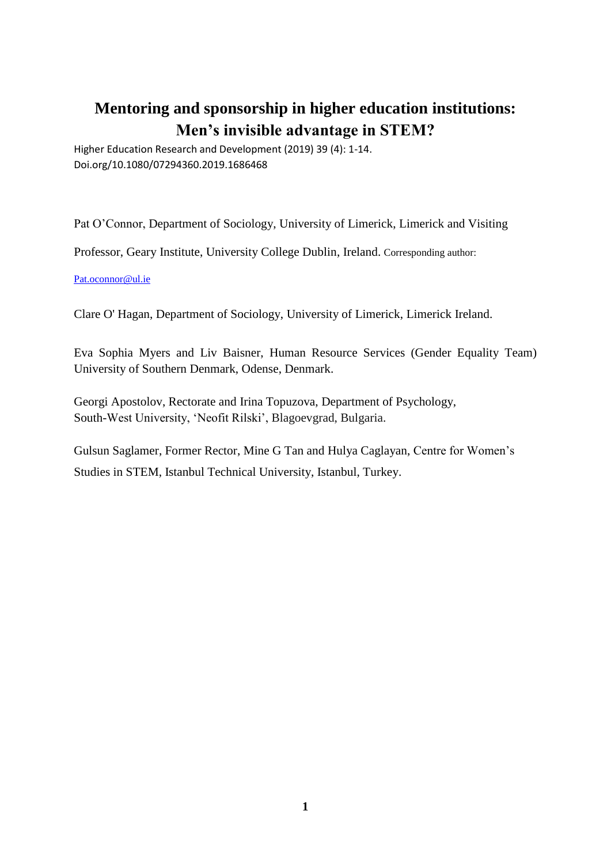# **Mentoring and sponsorship in higher education institutions: Men's invisible advantage in STEM?**

Higher Education Research and Development (2019) 39 (4): 1-14. Doi.org/10.1080/07294360.2019.1686468

Pat O'Connor, Department of Sociology, University of Limerick, Limerick and Visiting

Professor, Geary Institute, University College Dublin, Ireland. Corresponding author:

[Pat.oconnor@ul.ie](mailto:Pat.oconnor@ul.ie) 

Clare O' Hagan, Department of Sociology, University of Limerick, Limerick Ireland.

Eva Sophia Myers and Liv Baisner, Human Resource Services (Gender Equality Team) University of Southern Denmark, Odense, Denmark.

Georgi Apostolov, Rectorate and Irina Topuzova, Department of Psychology, South-West University, 'Neofit Rilski', Blagoevgrad, Bulgaria.

Gulsun Saglamer, Former Rector, Mine G Tan and Hulya Caglayan, Centre for Women's Studies in STEM, Istanbul Technical University, Istanbul, Turkey.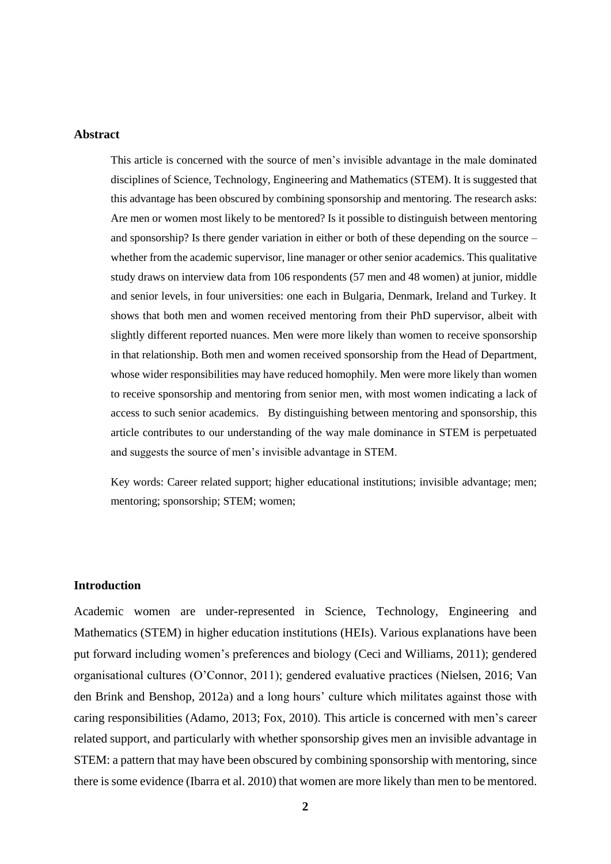#### **Abstract**

This article is concerned with the source of men's invisible advantage in the male dominated disciplines of Science, Technology, Engineering and Mathematics (STEM). It is suggested that this advantage has been obscured by combining sponsorship and mentoring. The research asks: Are men or women most likely to be mentored? Is it possible to distinguish between mentoring and sponsorship? Is there gender variation in either or both of these depending on the source – whether from the academic supervisor, line manager or other senior academics. This qualitative study draws on interview data from 106 respondents (57 men and 48 women) at junior, middle and senior levels, in four universities: one each in Bulgaria, Denmark, Ireland and Turkey. It shows that both men and women received mentoring from their PhD supervisor, albeit with slightly different reported nuances. Men were more likely than women to receive sponsorship in that relationship. Both men and women received sponsorship from the Head of Department, whose wider responsibilities may have reduced homophily. Men were more likely than women to receive sponsorship and mentoring from senior men, with most women indicating a lack of access to such senior academics. By distinguishing between mentoring and sponsorship, this article contributes to our understanding of the way male dominance in STEM is perpetuated and suggests the source of men's invisible advantage in STEM.

Key words: Career related support; higher educational institutions; invisible advantage; men; mentoring; sponsorship; STEM; women;

#### **Introduction**

Academic women are under-represented in Science, Technology, Engineering and Mathematics (STEM) in higher education institutions (HEIs). Various explanations have been put forward including women's preferences and biology (Ceci and Williams, 2011); gendered organisational cultures (O'Connor, 2011); gendered evaluative practices (Nielsen, 2016; Van den Brink and Benshop, 2012a) and a long hours' culture which militates against those with caring responsibilities (Adamo, 2013; Fox, 2010). This article is concerned with men's career related support, and particularly with whether sponsorship gives men an invisible advantage in STEM: a pattern that may have been obscured by combining sponsorship with mentoring, since there is some evidence (Ibarra et al. 2010) that women are more likely than men to be mentored.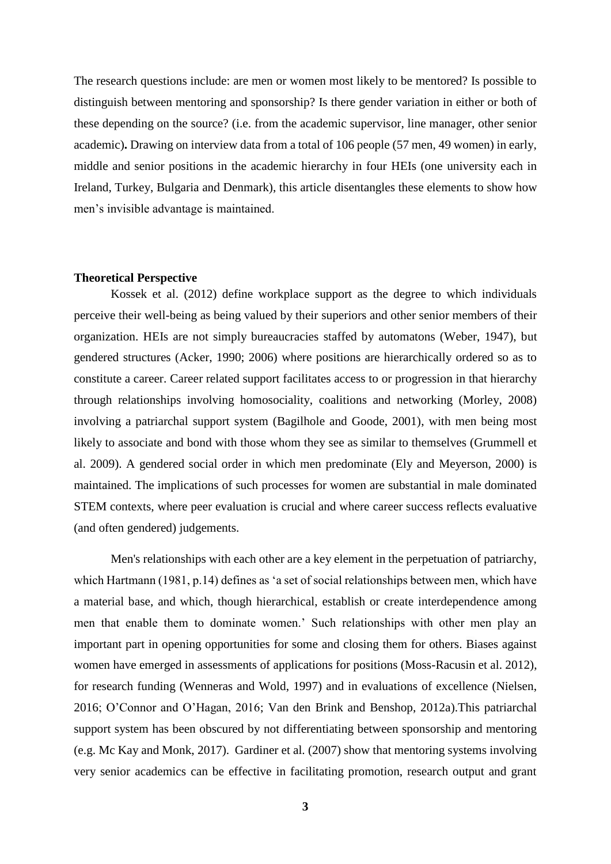The research questions include: are men or women most likely to be mentored? Is possible to distinguish between mentoring and sponsorship? Is there gender variation in either or both of these depending on the source? (i.e. from the academic supervisor, line manager, other senior academic)**.** Drawing on interview data from a total of 106 people (57 men, 49 women) in early, middle and senior positions in the academic hierarchy in four HEIs (one university each in Ireland, Turkey, Bulgaria and Denmark), this article disentangles these elements to show how men's invisible advantage is maintained.

#### **Theoretical Perspective**

Kossek et al. (2012) define workplace support as the degree to which individuals perceive their well-being as being valued by their superiors and other senior members of their organization. HEIs are not simply bureaucracies staffed by automatons (Weber, 1947), but gendered structures (Acker, 1990; 2006) where positions are hierarchically ordered so as to constitute a career. Career related support facilitates access to or progression in that hierarchy through relationships involving homosociality, coalitions and networking (Morley, 2008) involving a patriarchal support system (Bagilhole and Goode, 2001), with men being most likely to associate and bond with those whom they see as similar to themselves (Grummell et al. 2009). A gendered social order in which men predominate (Ely and Meyerson, 2000) is maintained. The implications of such processes for women are substantial in male dominated STEM contexts, where peer evaluation is crucial and where career success reflects evaluative (and often gendered) judgements.

Men's relationships with each other are a key element in the perpetuation of patriarchy, which Hartmann (1981, p.14) defines as 'a set of social relationships between men, which have a material base, and which, though hierarchical, establish or create interdependence among men that enable them to dominate women.' Such relationships with other men play an important part in opening opportunities for some and closing them for others. Biases against women have emerged in assessments of applications for positions (Moss-Racusin et al. 2012), for research funding (Wenneras and Wold, 1997) and in evaluations of excellence (Nielsen, 2016; O'Connor and O'Hagan, 2016; Van den Brink and Benshop, 2012a).This patriarchal support system has been obscured by not differentiating between sponsorship and mentoring (e.g. Mc Kay and Monk, 2017). Gardiner et al. (2007) show that mentoring systems involving very senior academics can be effective in facilitating promotion, research output and grant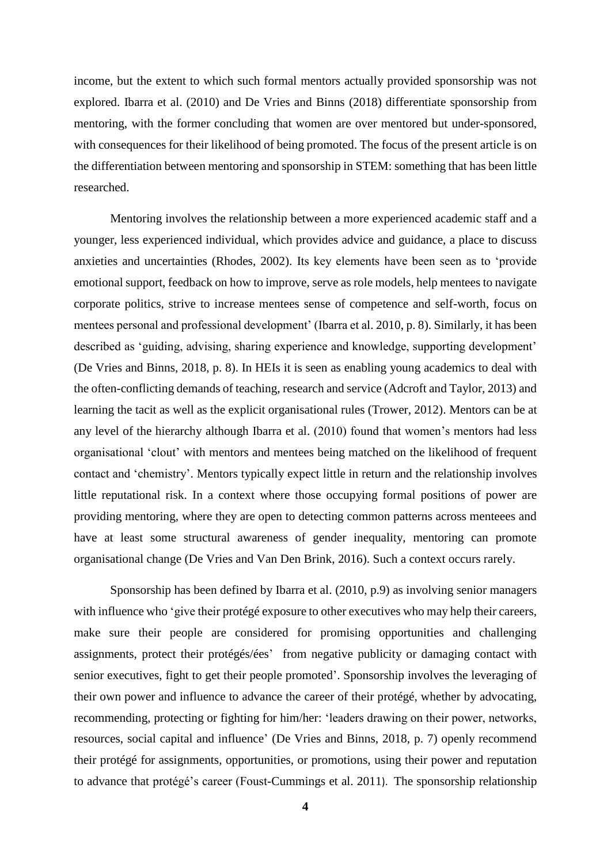income, but the extent to which such formal mentors actually provided sponsorship was not explored. Ibarra et al. (2010) and De Vries and Binns (2018) differentiate sponsorship from mentoring, with the former concluding that women are over mentored but under-sponsored, with consequences for their likelihood of being promoted. The focus of the present article is on the differentiation between mentoring and sponsorship in STEM: something that has been little researched.

Mentoring involves the relationship between a more experienced academic staff and a younger, less experienced individual, which provides advice and guidance, a place to discuss anxieties and uncertainties (Rhodes, 2002). Its key elements have been seen as to 'provide emotional support, feedback on how to improve, serve as role models, help mentees to navigate corporate politics, strive to increase mentees sense of competence and self-worth, focus on mentees personal and professional development' (Ibarra et al. 2010, p. 8). Similarly, it has been described as 'guiding, advising, sharing experience and knowledge, supporting development' (De Vries and Binns, 2018, p. 8). In HEIs it is seen as enabling young academics to deal with the often-conflicting demands of teaching, research and service (Adcroft and Taylor, 2013) and learning the tacit as well as the explicit organisational rules (Trower, 2012). Mentors can be at any level of the hierarchy although Ibarra et al. (2010) found that women's mentors had less organisational 'clout' with mentors and mentees being matched on the likelihood of frequent contact and 'chemistry'. Mentors typically expect little in return and the relationship involves little reputational risk. In a context where those occupying formal positions of power are providing mentoring, where they are open to detecting common patterns across menteees and have at least some structural awareness of gender inequality, mentoring can promote organisational change (De Vries and Van Den Brink, 2016). Such a context occurs rarely.

Sponsorship has been defined by Ibarra et al. (2010, p.9) as involving senior managers with influence who 'give their protégé exposure to other executives who may help their careers, make sure their people are considered for promising opportunities and challenging assignments, protect their protégés/ées' from negative publicity or damaging contact with senior executives, fight to get their people promoted'. Sponsorship involves the leveraging of their own power and influence to advance the career of their protégé, whether by advocating, recommending, protecting or fighting for him/her: 'leaders drawing on their power, networks, resources, social capital and influence' (De Vries and Binns, 2018, p. 7) openly recommend their protégé for assignments, opportunities, or promotions, using their power and reputation to advance that protégé's career (Foust-Cummings et al. 2011). The sponsorship relationship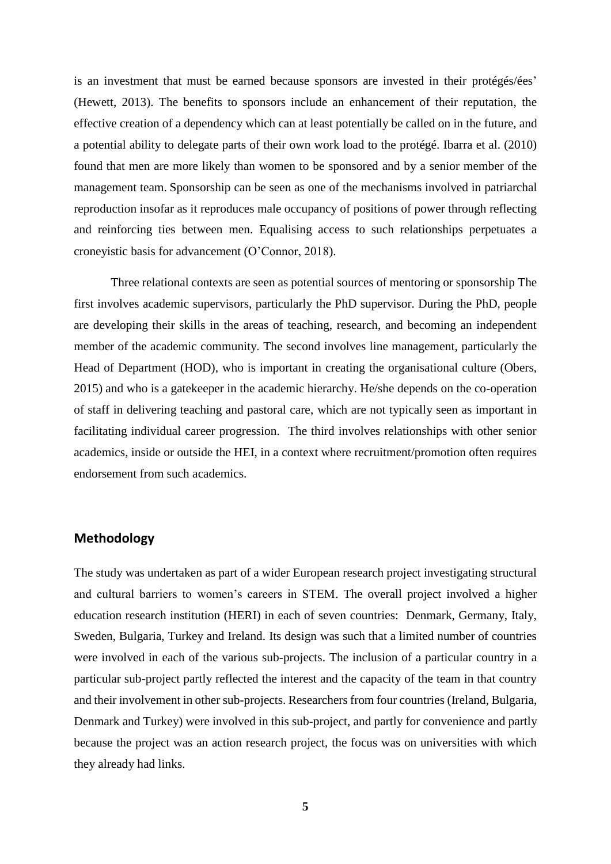is an investment that must be earned because sponsors are invested in their protégés/ées' (Hewett, 2013). The benefits to sponsors include an enhancement of their reputation, the effective creation of a dependency which can at least potentially be called on in the future, and a potential ability to delegate parts of their own work load to the protégé. Ibarra et al. (2010) found that men are more likely than women to be sponsored and by a senior member of the management team. Sponsorship can be seen as one of the mechanisms involved in patriarchal reproduction insofar as it reproduces male occupancy of positions of power through reflecting and reinforcing ties between men. Equalising access to such relationships perpetuates a croneyistic basis for advancement (O'Connor, 2018).

Three relational contexts are seen as potential sources of mentoring or sponsorship The first involves academic supervisors, particularly the PhD supervisor. During the PhD, people are developing their skills in the areas of teaching, research, and becoming an independent member of the academic community. The second involves line management, particularly the Head of Department (HOD), who is important in creating the organisational culture (Obers, 2015) and who is a gatekeeper in the academic hierarchy. He/she depends on the co-operation of staff in delivering teaching and pastoral care, which are not typically seen as important in facilitating individual career progression. The third involves relationships with other senior academics, inside or outside the HEI, in a context where recruitment/promotion often requires endorsement from such academics.

## **Methodology**

The study was undertaken as part of a wider European research project investigating structural and cultural barriers to women's careers in STEM. The overall project involved a higher education research institution (HERI) in each of seven countries: Denmark, Germany, Italy, Sweden, Bulgaria, Turkey and Ireland. Its design was such that a limited number of countries were involved in each of the various sub-projects. The inclusion of a particular country in a particular sub-project partly reflected the interest and the capacity of the team in that country and their involvement in other sub-projects. Researchers from four countries (Ireland, Bulgaria, Denmark and Turkey) were involved in this sub-project, and partly for convenience and partly because the project was an action research project, the focus was on universities with which they already had links.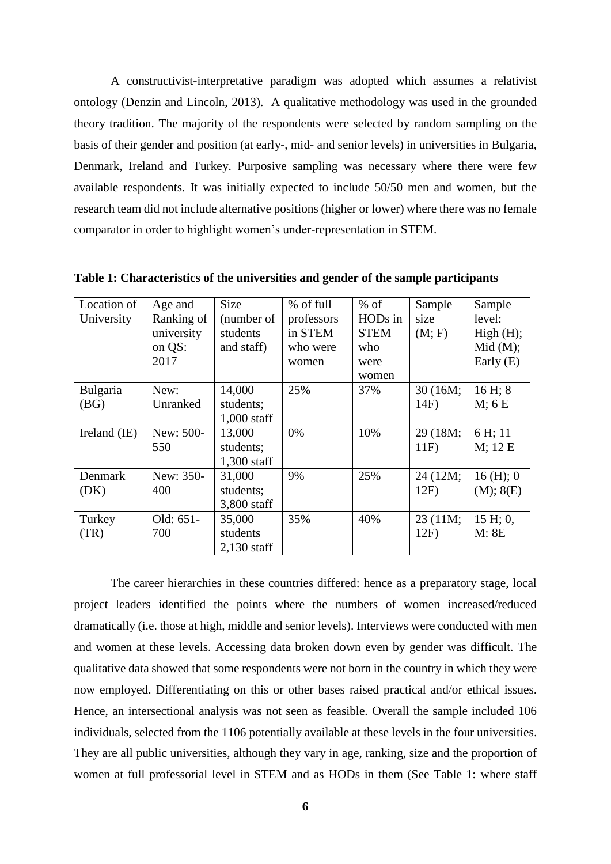A constructivist-interpretative paradigm was adopted which assumes a relativist ontology (Denzin and Lincoln, 2013). A qualitative methodology was used in the grounded theory tradition. The majority of the respondents were selected by random sampling on the basis of their gender and position (at early-, mid- and senior levels) in universities in Bulgaria, Denmark, Ireland and Turkey. Purposive sampling was necessary where there were few available respondents. It was initially expected to include 50/50 men and women, but the research team did not include alternative positions (higher or lower) where there was no female comparator in order to highlight women's under-representation in STEM.

| Location of    | Age and    | <b>Size</b>   | % of full  | $%$ of              | Sample   | Sample      |
|----------------|------------|---------------|------------|---------------------|----------|-------------|
| University     | Ranking of | (number of    | professors | HOD <sub>s</sub> in | size     | level:      |
|                | university | students      | in STEM    | <b>STEM</b>         | (M; F)   | High(H);    |
|                | on QS:     | and staff)    | who were   | who                 |          | Mid(M);     |
|                | 2017       |               | women      | were                |          | Early $(E)$ |
|                |            |               |            | women               |          |             |
| Bulgaria       | New:       | 14,000        | 25%        | 37%                 | 30 (16M; | 16H; 8      |
| (BG)           | Unranked   | students;     |            |                     | 14F      | $M$ ; 6 E   |
|                |            | $1,000$ staff |            |                     |          |             |
| Ireland $(IE)$ | New: 500-  | 13,000        | 0%         | 10%                 | 29 (18M; | 6 H; 11     |
|                | 550        | students;     |            |                     | 11F      | M; 12 E     |
|                |            | $1,300$ staff |            |                     |          |             |
| Denmark        | New: 350-  | 31,000        | 9%         | 25%                 | 24 (12M; | 16(H); 0    |
| (DK)           | 400        | students;     |            |                     | 12F      | (M); 8(E)   |
|                |            | 3,800 staff   |            |                     |          |             |
| Turkey         | Old: 651-  | 35,000        | 35%        | 40%                 | 23 (11M; | 15 H; 0,    |
| (TR)           | 700        | students      |            |                     | 12F      | M: 8E       |
|                |            | $2,130$ staff |            |                     |          |             |

**Table 1: Characteristics of the universities and gender of the sample participants**

The career hierarchies in these countries differed: hence as a preparatory stage, local project leaders identified the points where the numbers of women increased/reduced dramatically (i.e. those at high, middle and senior levels). Interviews were conducted with men and women at these levels. Accessing data broken down even by gender was difficult. The qualitative data showed that some respondents were not born in the country in which they were now employed. Differentiating on this or other bases raised practical and/or ethical issues. Hence, an intersectional analysis was not seen as feasible. Overall the sample included 106 individuals, selected from the 1106 potentially available at these levels in the four universities. They are all public universities, although they vary in age, ranking, size and the proportion of women at full professorial level in STEM and as HODs in them (See Table 1: where staff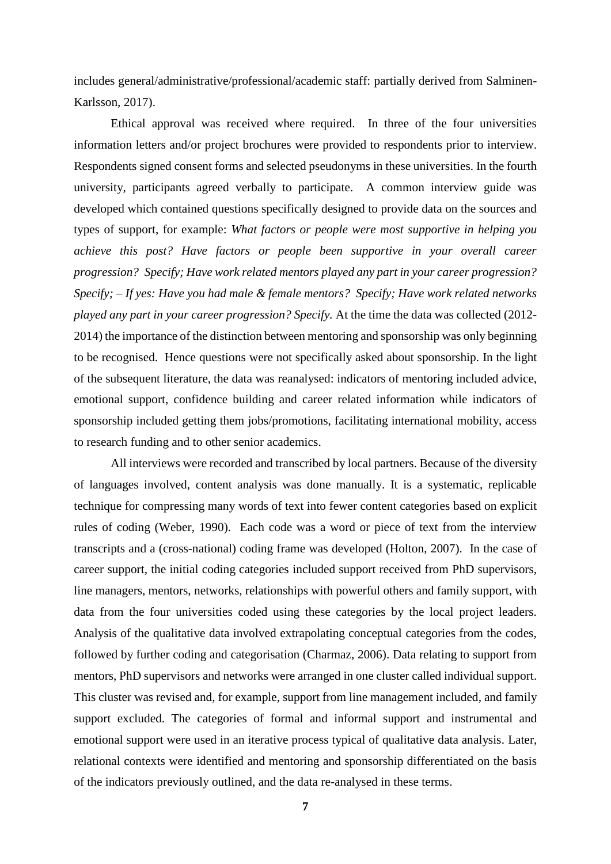includes general/administrative/professional/academic staff: partially derived from Salminen-Karlsson, 2017).

Ethical approval was received where required. In three of the four universities information letters and/or project brochures were provided to respondents prior to interview. Respondents signed consent forms and selected pseudonyms in these universities. In the fourth university, participants agreed verbally to participate. A common interview guide was developed which contained questions specifically designed to provide data on the sources and types of support, for example: *What factors or people were most supportive in helping you achieve this post? Have factors or people been supportive in your overall career progression? Specify; Have work related mentors played any part in your career progression? Specify; – If yes: Have you had male & female mentors? Specify; Have work related networks played any part in your career progression? Specify.* At the time the data was collected (2012- 2014) the importance of the distinction between mentoring and sponsorship was only beginning to be recognised. Hence questions were not specifically asked about sponsorship. In the light of the subsequent literature, the data was reanalysed: indicators of mentoring included advice, emotional support, confidence building and career related information while indicators of sponsorship included getting them jobs/promotions, facilitating international mobility, access to research funding and to other senior academics.

All interviews were recorded and transcribed by local partners. Because of the diversity of languages involved, content analysis was done manually. It is a systematic, replicable technique for compressing many words of text into fewer content categories based on explicit rules of coding (Weber, 1990). Each code was a word or piece of text from the interview transcripts and a (cross-national) coding frame was developed (Holton, 2007). In the case of career support, the initial coding categories included support received from PhD supervisors, line managers, mentors, networks, relationships with powerful others and family support, with data from the four universities coded using these categories by the local project leaders. Analysis of the qualitative data involved extrapolating conceptual categories from the codes, followed by further coding and categorisation (Charmaz, 2006). Data relating to support from mentors, PhD supervisors and networks were arranged in one cluster called individual support. This cluster was revised and, for example, support from line management included, and family support excluded. The categories of formal and informal support and instrumental and emotional support were used in an iterative process typical of qualitative data analysis. Later, relational contexts were identified and mentoring and sponsorship differentiated on the basis of the indicators previously outlined, and the data re-analysed in these terms.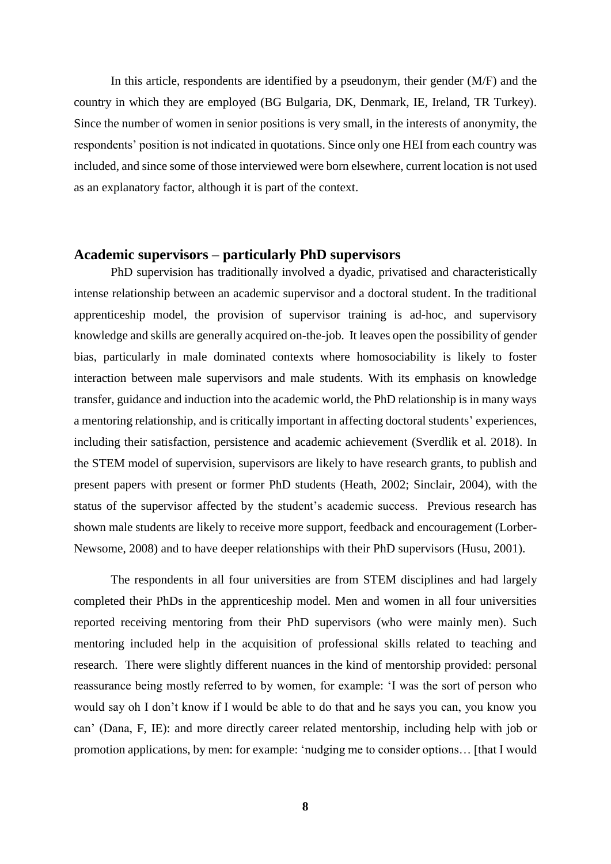In this article, respondents are identified by a pseudonym, their gender (M/F) and the country in which they are employed (BG Bulgaria, DK, Denmark, IE, Ireland, TR Turkey). Since the number of women in senior positions is very small, in the interests of anonymity, the respondents' position is not indicated in quotations. Since only one HEI from each country was included, and since some of those interviewed were born elsewhere, current location is not used as an explanatory factor, although it is part of the context.

## **Academic supervisors – particularly PhD supervisors**

PhD supervision has traditionally involved a dyadic, privatised and characteristically intense relationship between an academic supervisor and a doctoral student. In the traditional apprenticeship model, the provision of supervisor training is ad-hoc, and supervisory knowledge and skills are generally acquired on-the-job. It leaves open the possibility of gender bias, particularly in male dominated contexts where homosociability is likely to foster interaction between male supervisors and male students. With its emphasis on knowledge transfer, guidance and induction into the academic world, the PhD relationship is in many ways a mentoring relationship, and is critically important in affecting doctoral students' experiences, including their satisfaction, persistence and academic achievement (Sverdlik et al. 2018). In the STEM model of supervision, supervisors are likely to have research grants, to publish and present papers with present or former PhD students (Heath, 2002; Sinclair, 200[4\),](file:///C:/Users/clare.ohagan/Downloads/Effective_Supervision_Literature_Review%20(1).doc%23Wright) with the status of the supervisor affected by the student's academic success. Previous research has shown male students are likely to receive more support, feedback and encouragement (Lorber-Newsome, 2008) and to have deeper relationships with their PhD supervisors (Husu, 2001).

The respondents in all four universities are from STEM disciplines and had largely completed their PhDs in the apprenticeship model. Men and women in all four universities reported receiving mentoring from their PhD supervisors (who were mainly men). Such mentoring included help in the acquisition of professional skills related to teaching and research. There were slightly different nuances in the kind of mentorship provided: personal reassurance being mostly referred to by women, for example: 'I was the sort of person who would say oh I don't know if I would be able to do that and he says you can, you know you can' (Dana, F, IE): and more directly career related mentorship, including help with job or promotion applications, by men: for example: 'nudging me to consider options… [that I would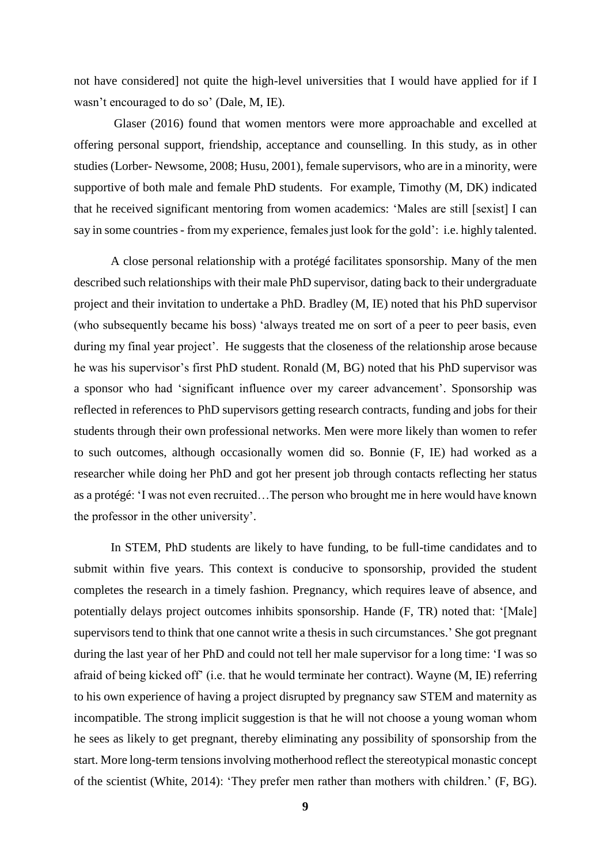not have considered] not quite the high-level universities that I would have applied for if I wasn't encouraged to do so' (Dale, M, IE).

Glaser (2016) found that women mentors were more approachable and excelled at offering personal support, friendship, acceptance and counselling. In this study, as in other studies (Lorber- Newsome, 2008; Husu, 2001), female supervisors, who are in a minority, were supportive of both male and female PhD students. For example, Timothy (M, DK) indicated that he received significant mentoring from women academics: 'Males are still [sexist] I can say in some countries - from my experience, females just look for the gold': i.e. highly talented.

A close personal relationship with a protégé facilitates sponsorship. Many of the men described such relationships with their male PhD supervisor, dating back to their undergraduate project and their invitation to undertake a PhD. Bradley (M, IE) noted that his PhD supervisor (who subsequently became his boss) 'always treated me on sort of a peer to peer basis, even during my final year project'. He suggests that the closeness of the relationship arose because he was his supervisor's first PhD student. Ronald (M, BG) noted that his PhD supervisor was a sponsor who had 'significant influence over my career advancement'. Sponsorship was reflected in references to PhD supervisors getting research contracts, funding and jobs for their students through their own professional networks. Men were more likely than women to refer to such outcomes, although occasionally women did so. Bonnie (F, IE) had worked as a researcher while doing her PhD and got her present job through contacts reflecting her status as a protégé: 'I was not even recruited…The person who brought me in here would have known the professor in the other university'.

In STEM, PhD students are likely to have funding, to be full-time candidates and to submit within five years. This context is conducive to sponsorship, provided the student completes the research in a timely fashion. Pregnancy, which requires leave of absence, and potentially delays project outcomes inhibits sponsorship. Hande (F, TR) noted that: '[Male] supervisors tend to think that one cannot write a thesis in such circumstances.' She got pregnant during the last year of her PhD and could not tell her male supervisor for a long time: 'I was so afraid of being kicked off' (i.e. that he would terminate her contract). Wayne (M, IE) referring to his own experience of having a project disrupted by pregnancy saw STEM and maternity as incompatible. The strong implicit suggestion is that he will not choose a young woman whom he sees as likely to get pregnant, thereby eliminating any possibility of sponsorship from the start. More long-term tensions involving motherhood reflect the stereotypical monastic concept of the scientist (White, 2014): 'They prefer men rather than mothers with children.' (F, BG).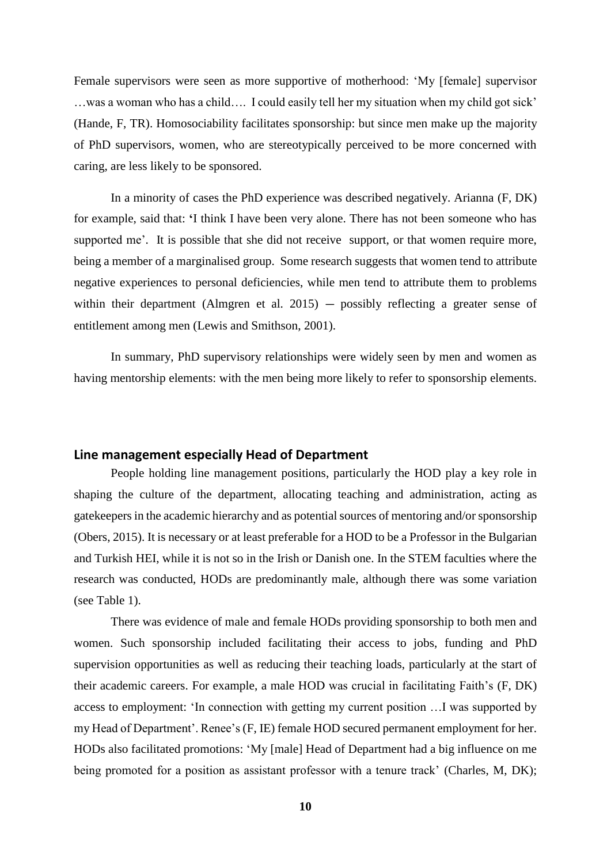Female supervisors were seen as more supportive of motherhood: 'My [female] supervisor …was a woman who has a child…. I could easily tell her my situation when my child got sick' (Hande, F, TR). Homosociability facilitates sponsorship: but since men make up the majority of PhD supervisors, women, who are stereotypically perceived to be more concerned with caring, are less likely to be sponsored.

In a minority of cases the PhD experience was described negatively. Arianna (F, DK) for example, said that: **'**I think I have been very alone. There has not been someone who has supported me'. It is possible that she did not receive support, or that women require more, being a member of a marginalised group. Some research suggests that women tend to attribute negative experiences to personal deficiencies, while men tend to attribute them to problems within their department (Almgren et al. 2015) — possibly reflecting a greater sense of entitlement among men (Lewis and Smithson, 2001).

In summary, PhD supervisory relationships were widely seen by men and women as having mentorship elements: with the men being more likely to refer to sponsorship elements.

## **Line management especially Head of Department**

People holding line management positions, particularly the HOD play a key role in shaping the culture of the department, allocating teaching and administration, acting as gatekeepers in the academic hierarchy and as potential sources of mentoring and/or sponsorship (Obers, 2015). It is necessary or at least preferable for a HOD to be a Professor in the Bulgarian and Turkish HEI, while it is not so in the Irish or Danish one. In the STEM faculties where the research was conducted, HODs are predominantly male, although there was some variation (see Table 1).

There was evidence of male and female HODs providing sponsorship to both men and women. Such sponsorship included facilitating their access to jobs, funding and PhD supervision opportunities as well as reducing their teaching loads, particularly at the start of their academic careers. For example, a male HOD was crucial in facilitating Faith's (F, DK) access to employment: 'In connection with getting my current position …I was supported by my Head of Department'. Renee's (F, IE) female HOD secured permanent employment for her. HODs also facilitated promotions: 'My [male] Head of Department had a big influence on me being promoted for a position as assistant professor with a tenure track' (Charles, M, DK);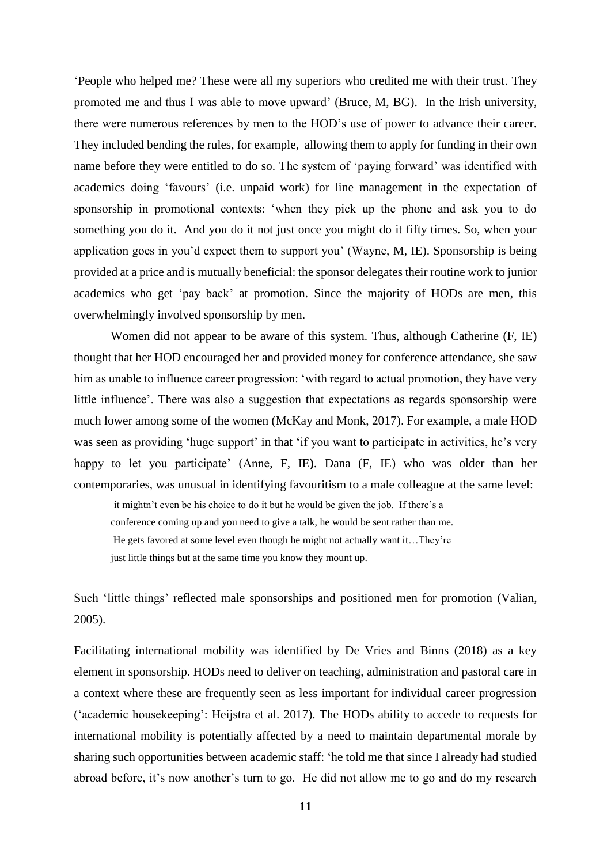'People who helped me? These were all my superiors who credited me with their trust. They promoted me and thus I was able to move upward' (Bruce, M, BG). In the Irish university, there were numerous references by men to the HOD's use of power to advance their career. They included bending the rules, for example, allowing them to apply for funding in their own name before they were entitled to do so. The system of 'paying forward' was identified with academics doing 'favours' (i.e. unpaid work) for line management in the expectation of sponsorship in promotional contexts: 'when they pick up the phone and ask you to do something you do it. And you do it not just once you might do it fifty times. So, when your application goes in you'd expect them to support you' (Wayne, M, IE). Sponsorship is being provided at a price and is mutually beneficial: the sponsor delegates their routine work to junior academics who get 'pay back' at promotion. Since the majority of HODs are men, this overwhelmingly involved sponsorship by men.

Women did not appear to be aware of this system. Thus, although Catherine (F, IE) thought that her HOD encouraged her and provided money for conference attendance, she saw him as unable to influence career progression: 'with regard to actual promotion, they have very little influence'. There was also a suggestion that expectations as regards sponsorship were much lower among some of the women (McKay and Monk, 2017). For example, a male HOD was seen as providing 'huge support' in that 'if you want to participate in activities, he's very happy to let you participate' (Anne, F, IE**)**. Dana (F, IE) who was older than her contemporaries, was unusual in identifying favouritism to a male colleague at the same level:

it mightn't even be his choice to do it but he would be given the job. If there's a conference coming up and you need to give a talk, he would be sent rather than me. He gets favored at some level even though he might not actually want it…They're just little things but at the same time you know they mount up.

Such 'little things' reflected male sponsorships and positioned men for promotion (Valian, 2005).

Facilitating international mobility was identified by De Vries and Binns (2018) as a key element in sponsorship. HODs need to deliver on teaching, administration and pastoral care in a context where these are frequently seen as less important for individual career progression ('academic housekeeping': Heijstra et al. 2017). The HODs ability to accede to requests for international mobility is potentially affected by a need to maintain departmental morale by sharing such opportunities between academic staff: 'he told me that since I already had studied abroad before, it's now another's turn to go. He did not allow me to go and do my research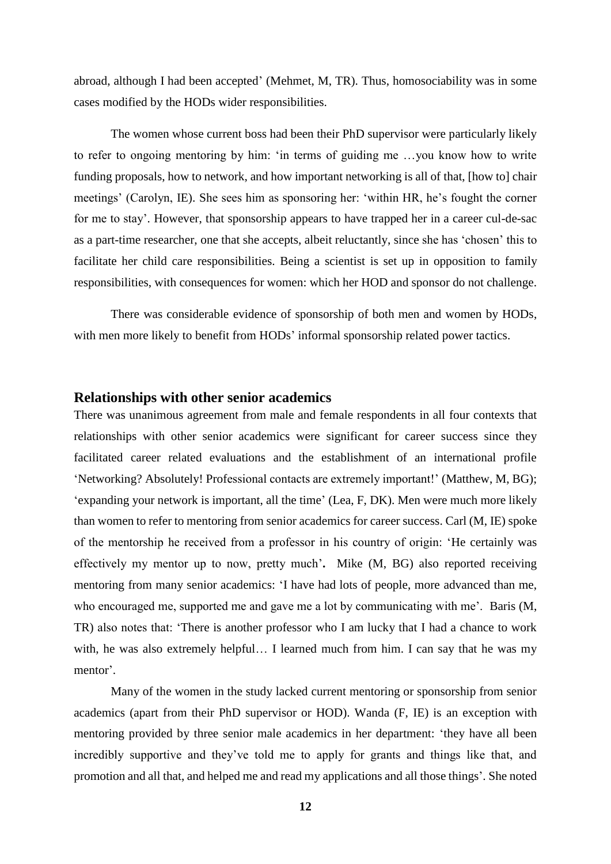abroad, although I had been accepted' (Mehmet, M, TR). Thus, homosociability was in some cases modified by the HODs wider responsibilities.

The women whose current boss had been their PhD supervisor were particularly likely to refer to ongoing mentoring by him: 'in terms of guiding me …you know how to write funding proposals, how to network, and how important networking is all of that, [how to] chair meetings' (Carolyn, IE). She sees him as sponsoring her: 'within HR, he's fought the corner for me to stay'. However, that sponsorship appears to have trapped her in a career cul-de-sac as a part-time researcher, one that she accepts, albeit reluctantly, since she has 'chosen' this to facilitate her child care responsibilities. Being a scientist is set up in opposition to family responsibilities, with consequences for women: which her HOD and sponsor do not challenge.

There was considerable evidence of sponsorship of both men and women by HODs, with men more likely to benefit from HODs' informal sponsorship related power tactics.

#### **Relationships with other senior academics**

There was unanimous agreement from male and female respondents in all four contexts that relationships with other senior academics were significant for career success since they facilitated career related evaluations and the establishment of an international profile 'Networking? Absolutely! Professional contacts are extremely important!' (Matthew, M, BG); 'expanding your network is important, all the time' (Lea, F, DK). Men were much more likely than women to refer to mentoring from senior academics for career success. Carl (M, IE) spoke of the mentorship he received from a professor in his country of origin: 'He certainly was effectively my mentor up to now, pretty much'**.** Mike (M, BG) also reported receiving mentoring from many senior academics: 'I have had lots of people, more advanced than me, who encouraged me, supported me and gave me a lot by communicating with me'. Baris (M, TR) also notes that: 'There is another professor who I am lucky that I had a chance to work with, he was also extremely helpful... I learned much from him. I can say that he was my mentor'.

Many of the women in the study lacked current mentoring or sponsorship from senior academics (apart from their PhD supervisor or HOD). Wanda (F, IE) is an exception with mentoring provided by three senior male academics in her department: 'they have all been incredibly supportive and they've told me to apply for grants and things like that, and promotion and all that, and helped me and read my applications and all those things'. She noted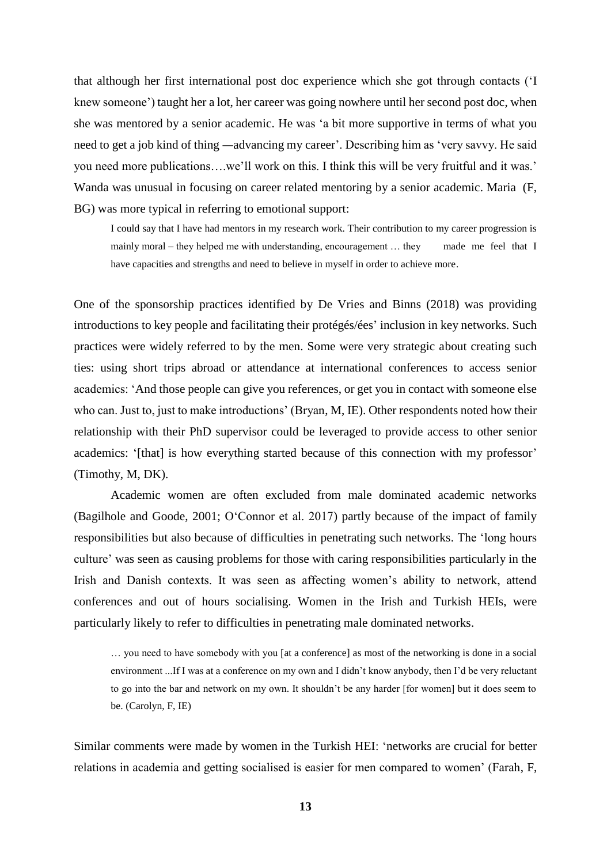that although her first international post doc experience which she got through contacts ('I knew someone') taught her a lot, her career was going nowhere until her second post doc, when she was mentored by a senior academic. He was 'a bit more supportive in terms of what you need to get a job kind of thing ―advancing my career'. Describing him as 'very savvy. He said you need more publications….we'll work on this. I think this will be very fruitful and it was.' Wanda was unusual in focusing on career related mentoring by a senior academic. Maria (F, BG) was more typical in referring to emotional support:

I could say that I have had mentors in my research work. Their contribution to my career progression is mainly moral – they helped me with understanding, encouragement … they made me feel that I have capacities and strengths and need to believe in myself in order to achieve more.

One of the sponsorship practices identified by De Vries and Binns (2018) was providing introductions to key people and facilitating their protégés/ées' inclusion in key networks. Such practices were widely referred to by the men. Some were very strategic about creating such ties: using short trips abroad or attendance at international conferences to access senior academics: 'And those people can give you references, or get you in contact with someone else who can. Just to, just to make introductions' (Bryan, M, IE). Other respondents noted how their relationship with their PhD supervisor could be leveraged to provide access to other senior academics: '[that] is how everything started because of this connection with my professor' (Timothy, M, DK).

Academic women are often excluded from male dominated academic networks (Bagilhole and Goode, 2001; O'Connor et al. 2017) partly because of the impact of family responsibilities but also because of difficulties in penetrating such networks. The 'long hours culture' was seen as causing problems for those with caring responsibilities particularly in the Irish and Danish contexts. It was seen as affecting women's ability to network, attend conferences and out of hours socialising. Women in the Irish and Turkish HEIs, were particularly likely to refer to difficulties in penetrating male dominated networks.

… you need to have somebody with you [at a conference] as most of the networking is done in a social environment ...If I was at a conference on my own and I didn't know anybody, then I'd be very reluctant to go into the bar and network on my own. It shouldn't be any harder [for women] but it does seem to be. (Carolyn, F, IE)

Similar comments were made by women in the Turkish HEI: 'networks are crucial for better relations in academia and getting socialised is easier for men compared to women' (Farah, F,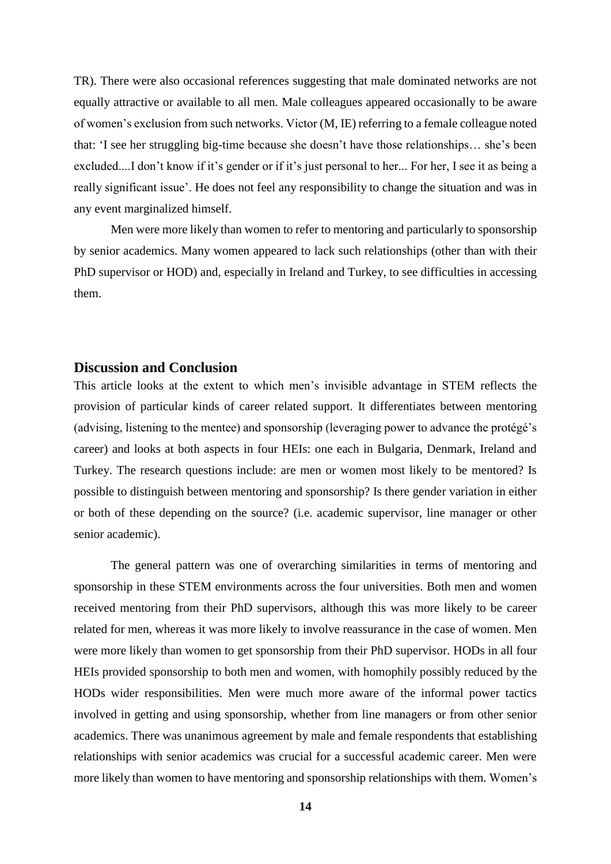TR). There were also occasional references suggesting that male dominated networks are not equally attractive or available to all men. Male colleagues appeared occasionally to be aware of women's exclusion from such networks. Victor (M, IE) referring to a female colleague noted that: 'I see her struggling big-time because she doesn't have those relationships… she's been excluded....I don't know if it's gender or if it's just personal to her... For her, I see it as being a really significant issue'. He does not feel any responsibility to change the situation and was in any event marginalized himself.

Men were more likely than women to refer to mentoring and particularly to sponsorship by senior academics. Many women appeared to lack such relationships (other than with their PhD supervisor or HOD) and, especially in Ireland and Turkey, to see difficulties in accessing them.

#### **Discussion and Conclusion**

This article looks at the extent to which men's invisible advantage in STEM reflects the provision of particular kinds of career related support. It differentiates between mentoring (advising, listening to the mentee) and sponsorship (leveraging power to advance the protégé's career) and looks at both aspects in four HEIs: one each in Bulgaria, Denmark, Ireland and Turkey. The research questions include: are men or women most likely to be mentored? Is possible to distinguish between mentoring and sponsorship? Is there gender variation in either or both of these depending on the source? (i.e. academic supervisor, line manager or other senior academic).

The general pattern was one of overarching similarities in terms of mentoring and sponsorship in these STEM environments across the four universities. Both men and women received mentoring from their PhD supervisors, although this was more likely to be career related for men, whereas it was more likely to involve reassurance in the case of women. Men were more likely than women to get sponsorship from their PhD supervisor. HODs in all four HEIs provided sponsorship to both men and women, with homophily possibly reduced by the HODs wider responsibilities. Men were much more aware of the informal power tactics involved in getting and using sponsorship, whether from line managers or from other senior academics. There was unanimous agreement by male and female respondents that establishing relationships with senior academics was crucial for a successful academic career. Men were more likely than women to have mentoring and sponsorship relationships with them. Women's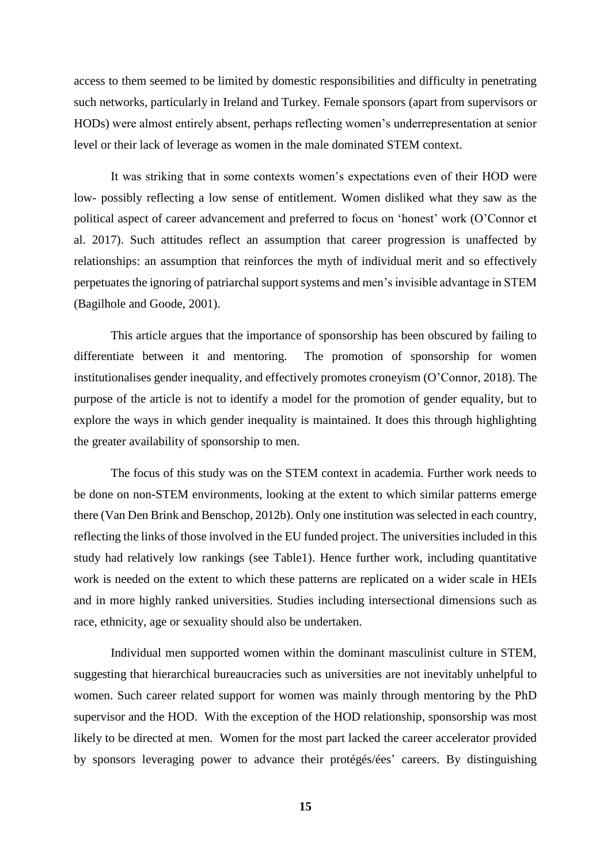access to them seemed to be limited by domestic responsibilities and difficulty in penetrating such networks, particularly in Ireland and Turkey. Female sponsors (apart from supervisors or HODs) were almost entirely absent, perhaps reflecting women's underrepresentation at senior level or their lack of leverage as women in the male dominated STEM context.

It was striking that in some contexts women's expectations even of their HOD were low- possibly reflecting a low sense of entitlement. Women disliked what they saw as the political aspect of career advancement and preferred to focus on 'honest' work (O'Connor et al. 2017). Such attitudes reflect an assumption that career progression is unaffected by relationships: an assumption that reinforces the myth of individual merit and so effectively perpetuates the ignoring of patriarchal support systems and men's invisible advantage in STEM (Bagilhole and Goode, 2001).

This article argues that the importance of sponsorship has been obscured by failing to differentiate between it and mentoring. The promotion of sponsorship for women institutionalises gender inequality, and effectively promotes croneyism (O'Connor, 2018). The purpose of the article is not to identify a model for the promotion of gender equality, but to explore the ways in which gender inequality is maintained. It does this through highlighting the greater availability of sponsorship to men.

The focus of this study was on the STEM context in academia. Further work needs to be done on non-STEM environments, looking at the extent to which similar patterns emerge there (Van Den Brink and Benschop, 2012b). Only one institution was selected in each country, reflecting the links of those involved in the EU funded project. The universities included in this study had relatively low rankings (see Table1). Hence further work, including quantitative work is needed on the extent to which these patterns are replicated on a wider scale in HEIs and in more highly ranked universities. Studies including intersectional dimensions such as race, ethnicity, age or sexuality should also be undertaken.

Individual men supported women within the dominant masculinist culture in STEM, suggesting that hierarchical bureaucracies such as universities are not inevitably unhelpful to women. Such career related support for women was mainly through mentoring by the PhD supervisor and the HOD. With the exception of the HOD relationship, sponsorship was most likely to be directed at men. Women for the most part lacked the career accelerator provided by sponsors leveraging power to advance their protégés/ées' careers. By distinguishing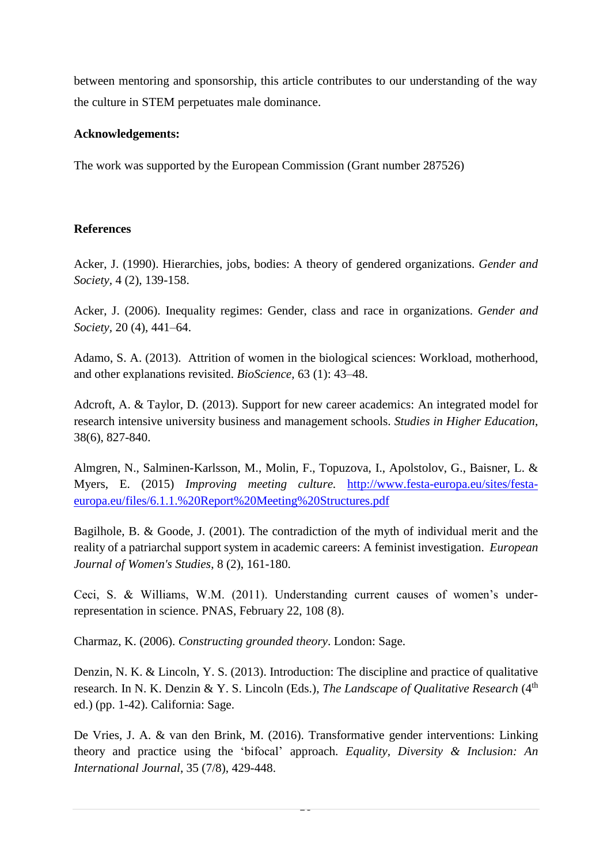between mentoring and sponsorship, this article contributes to our understanding of the way the culture in STEM perpetuates male dominance.

## **Acknowledgements:**

The work was supported by the European Commission (Grant number 287526)

## **References**

Acker, J. (1990). Hierarchies, jobs, bodies: A theory of gendered organizations. *Gender and Society,* 4 (2), 139-158.

Acker, J. (2006). Inequality regimes: Gender, class and race in organizations. *Gender and Society,* 20 (4), 441–64.

Adamo, S. A. (2013). Attrition of women in the biological sciences: Workload, motherhood, and other explanations revisited. *BioScience,* 63 (1): 43–48.

Adcroft, A. & Taylor, D. (2013). Support for new career academics: An integrated model for research intensive university business and management schools. *Studies in Higher Education*, 38(6), 827-840.

Almgren, N., Salminen-Karlsson, M., Molin, F., Topuzova, I., Apolstolov, G., Baisner, L. & Myers, E. (2015) *Improving meeting culture.* [http://www.festa-europa.eu/sites/festa](http://www.festa-europa.eu/sites/festa-europa.eu/files/6.1.1.%20Report%20Meeting%20Structures.pdf)[europa.eu/files/6.1.1.%20Report%20Meeting%20Structures.pdf](http://www.festa-europa.eu/sites/festa-europa.eu/files/6.1.1.%20Report%20Meeting%20Structures.pdf)

Bagilhole, B. & Goode, J. (2001). The contradiction of the myth of individual merit and the reality of a patriarchal support system in academic careers: A feminist investigation. *European Journal of Women's Studies*, 8 (2), 161-180.

Ceci, S. & Williams, W.M. (2011). Understanding current causes of women's underrepresentation in science. PNAS, February 22, 108 (8).

Charmaz, K. (2006). *Constructing grounded theory*. London: Sage.

Denzin, N. K. & Lincoln, Y. S. (2013). Introduction: The discipline and practice of qualitative research. In N. K. Denzin & Y. S. Lincoln (Eds.), *The Landscape of Qualitative Research* (4<sup>th</sup>) ed.) (pp. 1-42). California: Sage.

De Vries, J. A. & van den Brink, M. (2016). Transformative gender interventions: Linking theory and practice using the 'bifocal' approach. *Equality, Diversity & Inclusion: An International Journal*, 35 (7/8), 429-448.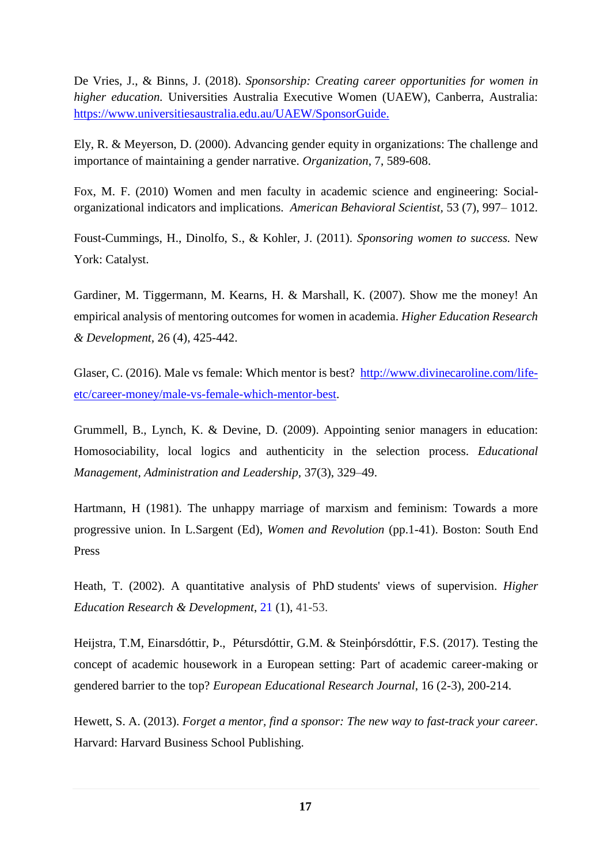De Vries, J., & Binns, J. (2018). *Sponsorship: Creating career opportunities for women in higher education.* Universities Australia Executive Women (UAEW), Canberra, Australia: [https://www.universitiesaustralia.edu.au/UAEW/SponsorGuide.](https://www.universitiesaustralia.edu.au/UAEW/SponsorGuide)

Ely, R. & Meyerson, D. (2000). Advancing gender equity in organizations: The challenge and importance of maintaining a gender narrative. *Organization*, 7, 589-608.

Fox, M. F. (2010) Women and men faculty in academic science and engineering: Socialorganizational indicators and implications. *American Behavioral Scientist,* 53 (7), 997– 1012.

Foust-Cummings, H., Dinolfo, S., & Kohler, J. (2011). *Sponsoring women to success.* New York: Catalyst.

Gardiner, M. Tiggermann, M. Kearns, H. & Marshall, K. (2007). Show me the money! An empirical analysis of mentoring outcomes for women in academia. *Higher Education Research & Development,* 26 (4), 425-442.

Glaser, C. (2016). Male vs female: Which mentor is best? [http://www.divinecaroline.com/life](http://www.divinecaroline.com/life-etc/career-money/male-vs-female-which-mentor-best)[etc/career-money/male-vs-female-which-mentor-best.](http://www.divinecaroline.com/life-etc/career-money/male-vs-female-which-mentor-best)

Grummell, B., Lynch, K. & Devine, D. (2009). Appointing senior managers in education: Homosociability, local logics and authenticity in the selection process. *Educational Management, Administration and Leadership,* 37(3), 329–49.

Hartmann, H (1981). The unhappy marriage of marxism and feminism: Towards a more progressive union. In L.Sargent (Ed), *Women and Revolution* (pp.1-41). Boston: South End Press

Heath, T. (2002). A quantitative analysis of PhD students' views of supervision. *Higher Education Research & Development*, [21](http://www.tandfonline.com/loi/cher20?open=21#vol_21) (1), 41-53.

Heijstra, T.M, Einarsdóttir, Þ., Pétursdóttir, G.M. & [Steinþórsdóttir,](https://journals.sagepub.com/author/Stein%C3%BE%C3%B3rsd%C3%B3ttir%2C+Finnborg+S) F.S. (2017). Testing the concept of academic housework in a European setting: Part of academic career-making or gendered barrier to the top? *European Educational Research Journal*, 16 (2-3), 200-214.

Hewett, S. A. (2013). *Forget a mentor, find a sponsor: The new way to fast-track your career*. Harvard: Harvard Business School Publishing.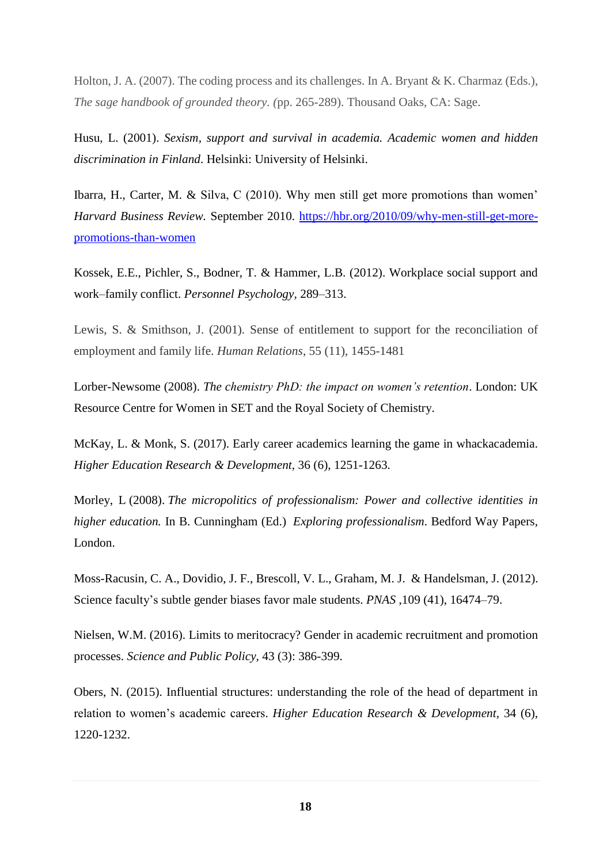Holton, J. A. (2007). The coding process and its challenges. In A. Bryant & K. Charmaz (Eds.), *The sage handbook of grounded theory. (*pp. 265-289). Thousand Oaks, CA: Sage.

Husu, L. (2001). *Sexism, support and survival in academia. Academic women and hidden discrimination in Finland*. Helsinki: University of Helsinki.

Ibarra, H., Carter, M. & Silva, C (2010). Why men still get more promotions than women' *Harvard Business Review.* September 2010. [https://hbr.org/2010/09/why-men-still-get-more](https://hbr.org/2010/09/why-men-still-get-more-promotions-than-women)[promotions-than-women](https://hbr.org/2010/09/why-men-still-get-more-promotions-than-women)

Kossek, E.E., Pichler, S., Bodner, T. & Hammer, L.B. (2012). Workplace social support and work–family conflict. *Personnel Psychology,* 289–313.

Lewis, S. & Smithson, J. (2001). Sense of entitlement to support for the reconciliation of employment and family life. *Human Relations*, 55 (11), 1455-1481

Lorber-Newsome (2008). *The chemistry PhD: the impact on women's retention*. London: UK Resource Centre for Women in SET and the Royal Society of Chemistry.

McKay, L. & Monk, S. (2017). Early career academics learning the game in whackacademia. *Higher Education Research & Development,* 36 (6), 1251-1263.

Morley, L (2008). *[The micropolitics of professionalism: Power and collective identities in](http://sro.sussex.ac.uk/18823/)  [higher education.](http://sro.sussex.ac.uk/18823/)* In B. Cunningham (Ed.) *Exploring professionalism*. Bedford Way Papers, London.

Moss-Racusin, C. A., Dovidio, J. F., Brescoll, V. L., Graham, M. J. & Handelsman, J. (2012). Science faculty's subtle gender biases favor male students. *PNAS* ,109 (41), 16474–79.

Nielsen, W.M. (2016). Limits to meritocracy? Gender in academic recruitment and promotion processes. *Science and Public Policy,* 43 (3): 386-399.

Obers, N. (2015). Influential structures: understanding the role of the head of department in relation to women's academic careers. *Higher Education Research & Development,* 34 (6), 1220-1232.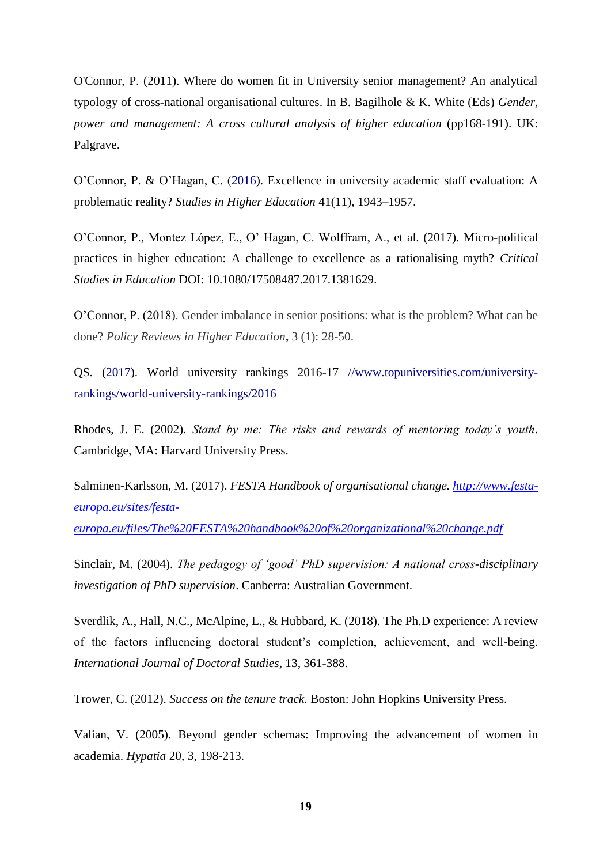O'Connor, P. (2011). Where do women fit in University senior management? An analytical typology of cross-national organisational cultures. In B. Bagilhole & K. White (Eds) *Gender, power and management: A cross cultural analysis of higher education* (pp168-191). UK: Palgrave.

O'Connor, P. & O'Hagan, C. (2016). Excellence in university academic staff evaluation: A problematic reality? *Studies in Higher Education* 41(11), 1943–1957.

O'Connor, P., Montez López, E., O' Hagan, C. Wolffram, A., et al. (2017). Micro-political practices in higher education: A challenge to excellence as a rationalising myth? *Critical Studies in Education* DOI: [10.1080/17508487.2017.1381629.](https://doi.org/10.1080/17508487.2017.1381629)

O'Connor, P. (2018). Gender imbalance in senior positions: what is the problem? What can be done? *Policy Reviews in Higher Education***,** 3 (1): 28-50.

QS. (2017). World university rankings 2016-17 //www.topuniversities.com/universityrankings/world-university-rankings/2016

Rhodes, J. E. (2002). *Stand by me: The risks and rewards of mentoring today's youth*. Cambridge, MA: Harvard University Press.

Salminen-Karlsson, M. (2017). *FESTA Handbook of organisational change. [http://www.festa](http://www.festa-europa.eu/sites/festa-europa.eu/files/The%20FESTA%20handbook%20of%20organizational%20change.pdf)[europa.eu/sites/festa-](http://www.festa-europa.eu/sites/festa-europa.eu/files/The%20FESTA%20handbook%20of%20organizational%20change.pdf)*

*[europa.eu/files/The%20FESTA%20handbook%20of%20organizational%20change.pdf](http://www.festa-europa.eu/sites/festa-europa.eu/files/The%20FESTA%20handbook%20of%20organizational%20change.pdf)*

Sinclair, M. (2004). *The pedagogy of 'good' PhD supervision: A national cross-disciplinary investigation of PhD supervision*. Canberra: Australian Government.

Sverdlik, A., Hall, N.C., McAlpine, L., & Hubbard, K. (2018). The Ph.D experience: A review of the factors influencing doctoral student's completion, achievement, and well-being. *International Journal of Doctoral Studies*, 13, 361-388.

Trower, C. (2012). *Success on the tenure track.* Boston: John Hopkins University Press.

Valian, V. (2005). Beyond gender schemas: Improving the advancement of women in academia. *Hypatia* 20, 3, 198-213.